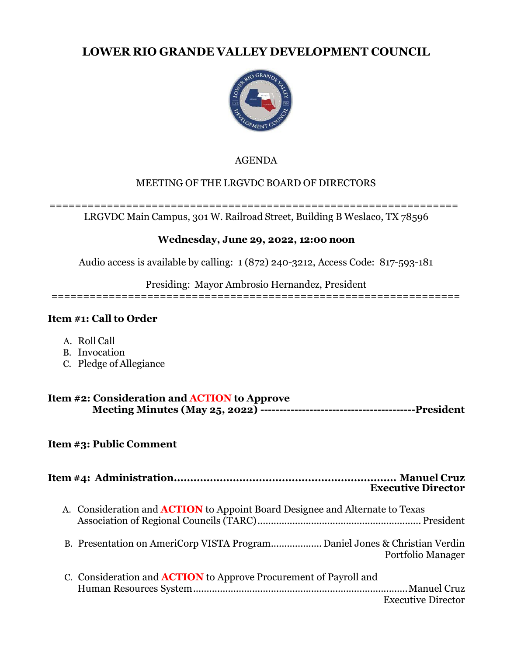# **LOWER RIO GRANDE VALLEY DEVELOPMENT COUNCIL**



#### AGENDA

### MEETING OF THE LRGVDC BOARD OF DIRECTORS

#### ================================================================ LRGVDC Main Campus, 301 W. Railroad Street, Building B Weslaco, TX 78596

#### **Wednesday, June 29, 2022, 12:00 noon**

Audio access is available by calling: 1 (872) 240-3212, Access Code: 817-593-181

Presiding: Mayor Ambrosio Hernandez, President

================================================================

#### **Item #1: Call to Order**

- A. Roll Call
- B. Invocation
- C. Pledge of Allegiance

| Item #2: Consideration and <b>ACTION</b> to Approve |  |
|-----------------------------------------------------|--|
|                                                     |  |

### **Item #3: Public Comment**

|                                                                                     | <b>Executive Director</b> |
|-------------------------------------------------------------------------------------|---------------------------|
| A. Consideration and <b>ACTION</b> to Appoint Board Designee and Alternate to Texas |                           |
|                                                                                     | Portfolio Manager         |
| C. Consideration and <b>ACTION</b> to Approve Procurement of Payroll and            | <b>Executive Director</b> |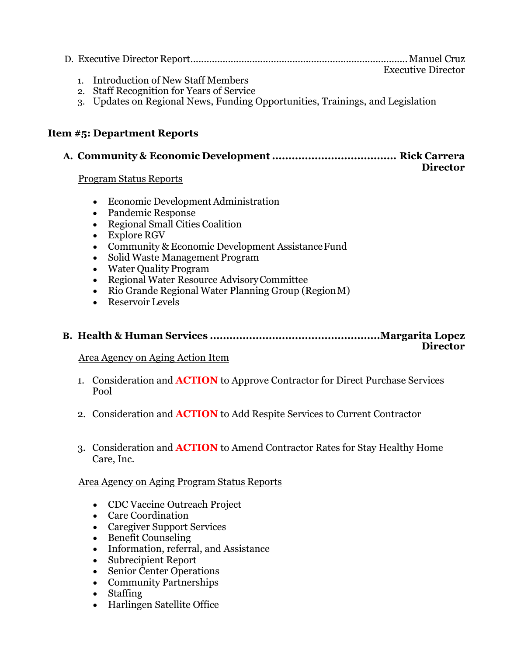| $\tau$ , 1, $\tau$ , $\tau$ , $\tau$ , $\tau$ | <b>Executive Director</b> |
|-----------------------------------------------|---------------------------|

- 1. Introduction of New Staff Members
- 2. Staff Recognition for Years of Service
- 3. Updates on Regional News, Funding Opportunities, Trainings, and Legislation

#### **Item #5: Department Reports**

#### **A. Community & Economic Development ...................................... Rick Carrera Director**

#### Program Status Reports

- Economic Development Administration
- Pandemic Response
- Regional Small Cities Coalition
- Explore RGV
- Community & Economic Development Assistance Fund
- Solid Waste Management Program
- Water Quality Program
- Regional Water Resource AdvisoryCommittee
- Rio Grande Regional Water Planning Group (RegionM)
- Reservoir Levels

#### **B. Health & Human Services ....................................................Margarita Lopez Director**

#### Area Agency on Aging Action Item

- 1. Consideration and **ACTION** to Approve Contractor for Direct Purchase Services Pool
- 2. Consideration and **ACTION** to Add Respite Services to Current Contractor
- 3. Consideration and **ACTION** to Amend Contractor Rates for Stay Healthy Home Care, Inc.

#### Area Agency on Aging Program Status Reports

- CDC Vaccine Outreach Project
- Care Coordination
- Caregiver Support Services
- Benefit Counseling
- Information, referral, and Assistance
- Subrecipient Report
- Senior Center Operations
- Community Partnerships
- Staffing
- Harlingen Satellite Office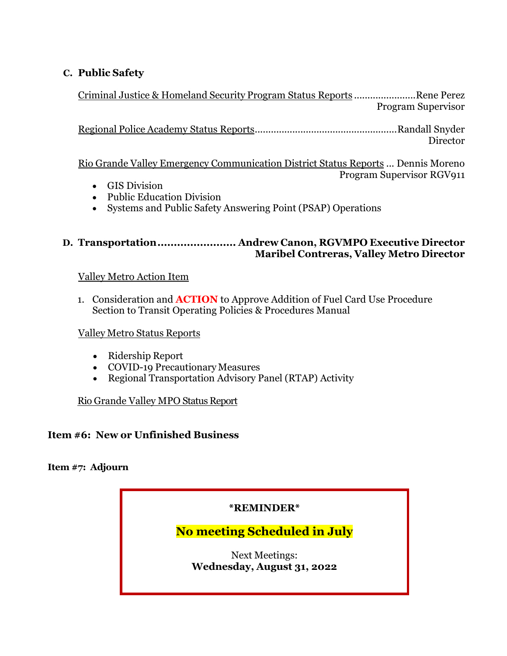## **C. Public Safety**

Criminal Justice & Homeland Security Program Status Reports .......................Rene Perez Program Supervisor

Regional Police Academy Status Reports.....................................................Randall Snyder Director

Rio Grande Valley Emergency Communication District Status Reports ... Dennis Moreno Program Supervisor RGV911

- GIS Division
- Public Education Division
- Systems and Public Safety Answering Point (PSAP) Operations

#### **D. Transportation........................ Andrew Canon, RGVMPO Executive Director Maribel Contreras, Valley Metro Director**

### Valley Metro Action Item

1. Consideration and **ACTION** to Approve Addition of Fuel Card Use Procedure Section to Transit Operating Policies & Procedures Manual

#### Valley Metro Status Reports

- Ridership Report
- COVID-19 Precautionary Measures
- Regional Transportation Advisory Panel (RTAP) Activity

### Rio Grande Valley MPO Status Report

### **Item #6: New or Unfinished Business**

#### **Item #7: Adjourn**

# **\*REMINDER\***

# **No meeting Scheduled in July**

Next Meetings: **Wednesday, August 31, 2022**